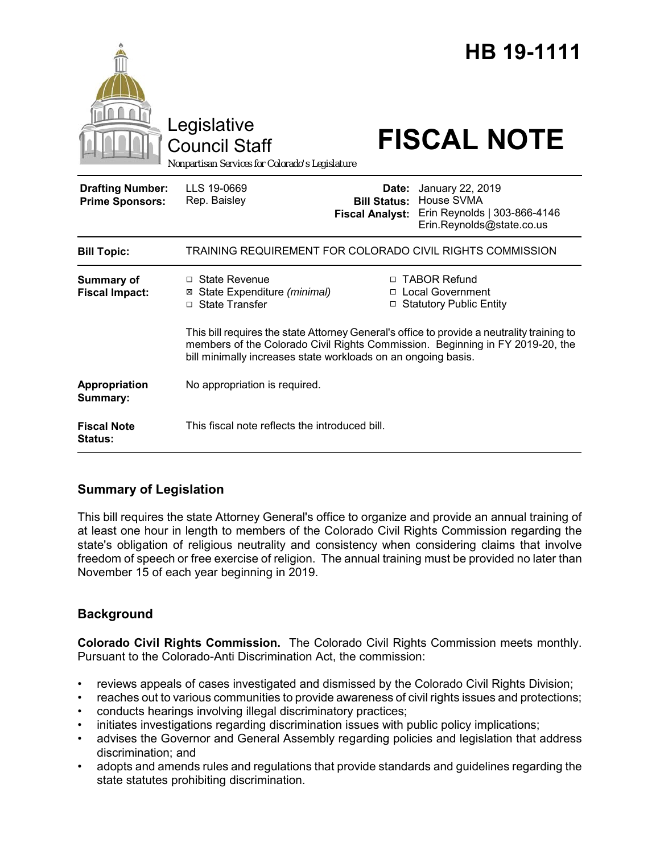|                                                   | Legislative<br><b>Council Staff</b><br>Nonpartisan Services for Colorado's Legislature                                                                                                                                                       |                                                        | HB 19-1111<br><b>FISCAL NOTE</b>                                                            |
|---------------------------------------------------|----------------------------------------------------------------------------------------------------------------------------------------------------------------------------------------------------------------------------------------------|--------------------------------------------------------|---------------------------------------------------------------------------------------------|
| <b>Drafting Number:</b><br><b>Prime Sponsors:</b> | LLS 19-0669<br>Rep. Baisley                                                                                                                                                                                                                  | Date:<br><b>Bill Status:</b><br><b>Fiscal Analyst:</b> | January 22, 2019<br>House SVMA<br>Erin Reynolds   303-866-4146<br>Erin.Reynolds@state.co.us |
| <b>Bill Topic:</b>                                | TRAINING REQUIREMENT FOR COLORADO CIVIL RIGHTS COMMISSION                                                                                                                                                                                    |                                                        |                                                                                             |
| <b>Summary of</b><br><b>Fiscal Impact:</b>        | $\Box$ State Revenue<br>State Expenditure (minimal)<br>⊠<br><b>State Transfer</b><br>П                                                                                                                                                       | □                                                      | □ TABOR Refund<br>□ Local Government<br><b>Statutory Public Entity</b>                      |
|                                                   | This bill requires the state Attorney General's office to provide a neutrality training to<br>members of the Colorado Civil Rights Commission. Beginning in FY 2019-20, the<br>bill minimally increases state workloads on an ongoing basis. |                                                        |                                                                                             |
| Appropriation<br>Summary:                         | No appropriation is required.                                                                                                                                                                                                                |                                                        |                                                                                             |
| <b>Fiscal Note</b><br><b>Status:</b>              | This fiscal note reflects the introduced bill.                                                                                                                                                                                               |                                                        |                                                                                             |

# **Summary of Legislation**

This bill requires the state Attorney General's office to organize and provide an annual training of at least one hour in length to members of the Colorado Civil Rights Commission regarding the state's obligation of religious neutrality and consistency when considering claims that involve freedom of speech or free exercise of religion. The annual training must be provided no later than November 15 of each year beginning in 2019.

# **Background**

**Colorado Civil Rights Commission.** The Colorado Civil Rights Commission meets monthly. Pursuant to the Colorado-Anti Discrimination Act, the commission:

- reviews appeals of cases investigated and dismissed by the Colorado Civil Rights Division;
- reaches out to various communities to provide awareness of civil rights issues and protections;
- conducts hearings involving illegal discriminatory practices;
- initiates investigations regarding discrimination issues with public policy implications;
- advises the Governor and General Assembly regarding policies and legislation that address discrimination; and
- adopts and amends rules and regulations that provide standards and guidelines regarding the state statutes prohibiting discrimination.